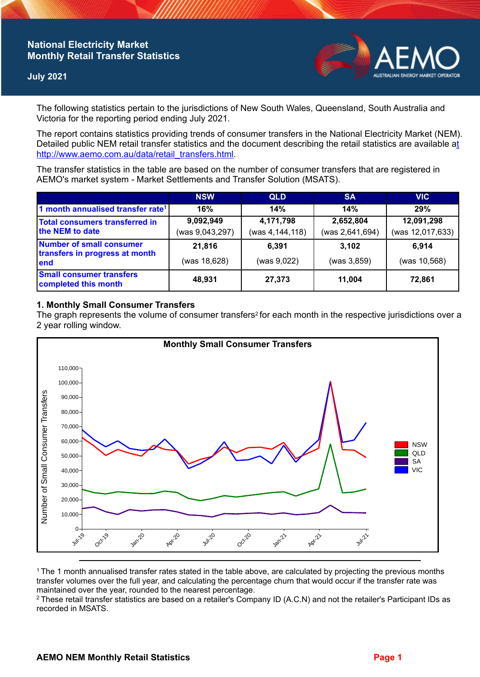# **National Electricity Market Monthly Retail Transfer Statistics**

## **July 2021**



The following statistics pertain to the jurisdictions of New South Wales, Queensland, South Australia and Victoria for the reporting period ending July 2021.

The report contains statistics providing trends of consumer transfers in the National Electricity Market (NEM). Detailed public NEM retail transfer statistics and the document describing the retail statistics are available a[t](http://www.aemo.com.au/data/retail_transfers.html)  http://www.aemo.com.au/data/retail\_transfers.html

The transfer statistics in the table are based on the number of consumer transfers that are registered in AEMO's market system - Market Settlements and Transfer Solution (MSATS).

|                                                                    | <b>NSW</b>      | <b>QLD</b>      | <b>SA</b>       | <b>VIC</b>       |
|--------------------------------------------------------------------|-----------------|-----------------|-----------------|------------------|
| 1 month annualised transfer rate <sup>1</sup>                      | 16%             | 14%             | 14%             | 29%              |
| Total consumers transferred in<br>the NEM to date                  | 9,092,949       | 4,171,798       | 2,652,804       | 12,091,298       |
|                                                                    | (was 9,043,297) | (was 4,144,118) | (was 2,641,694) | (was 12,017,633) |
| Number of small consumer<br>transfers in progress at month<br>lend | 21,816          | 6,391           | 3.102           | 6.914            |
|                                                                    | (was 18,628)    | (was 9,022)     | (was 3,859)     | (was 10,568)     |
| <b>Small consumer transfers</b><br>completed this month            | 48,931          | 27,373          | 11.004          | 72,861           |

#### **1. Monthly Small Consumer Transfers**

The graph represents the volume of consumer transfers<sup>2</sup> for each month in the respective jurisdictions over a 2 year rolling window.



<sup>1</sup>The 1 month annualised transfer rates stated in the table above, are calculated by projecting the previous months transfer volumes over the full year, and calculating the percentage churn that would occur if the transfer rate was maintained over the year, rounded to the nearest percentage.

<sup>2</sup> These retail transfer statistics are based on a retailer's Company ID (A.C.N) and not the retailer's Participant IDs as recorded in MSATS.